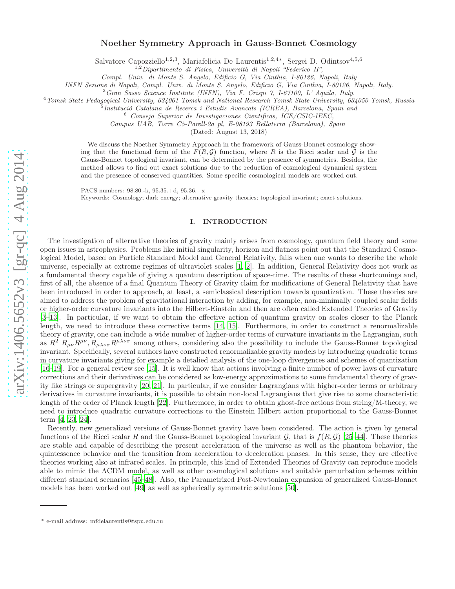# arXiv:1406.5652v3 [gr-qc] 4 Aug 2014 [arXiv:1406.5652v3 \[gr-qc\] 4 Aug 2014](http://arxiv.org/abs/1406.5652v3)

# Noether Symmetry Approach in Gauss-Bonnet Cosmology

Salvatore Capozziello<sup>1,2,3</sup>, Mariafelicia De Laurentis<sup>1,2,4\*</sup>, Sergei D. Odintsov<sup>4,5,6</sup>

<sup>1,2</sup> Dipartimento di Fisica, Università di Napoli "Federico II",

Compl. Univ. di Monte S. Angelo, Edificio G, Via Cinthia, I-80126, Napoli, Italy

 ${}^{3}Gran\$  Sasso Science Institute (INFN), Via F. Crispi 7, I-67100, L' Aquila, Italy.

<sup>4</sup> Tomsk State Pedagogical University, 634061 Tomsk and National Research Tomsk State University, 634050 Tomsk, Russia

 $\frac{1}{2}$ Institució Catalana de Recerca i Estudis Avancats (ICREA), Barcelona, Spain and  $\frac{6}{5}$  Consejo Superior de Investigaciones Cientificas, ICE/CSIC-IEEC,

Campus UAB, Torre C5-Parell-2a pl, E-08193 Bellaterra (Barcelona), Spain

(Dated: August 13, 2018)

We discuss the Noether Symmetry Approach in the framework of Gauss-Bonnet cosmology showing that the functional form of the  $F(R,\mathcal{G})$  function, where R is the Ricci scalar and G is the Gauss-Bonnet topological invariant, can be determined by the presence of symmetries. Besides, the method allows to find out exact solutions due to the reduction of cosmological dynamical system and the presence of conserved quantities. Some specific cosmological models are worked out.

PACS numbers: 98.80.-k, 95.35.+d, 95.36.+x Keywords: Cosmology; dark energy; alternative gravity theories; topological invariant; exact solutions.

# I. INTRODUCTION

The investigation of alternative theories of gravity mainly arises from cosmology, quantum field theory and some open issues in astrophysics. Problems like initial singularity, horizon and flatness point out that the Standard Cosmological Model, based on Particle Standard Model and General Relativity, fails when one wants to describe the whole universe, especially at extreme regimes of ultraviolet scales [\[1,](#page-7-0) [2\]](#page-7-1). In addition, General Relativity does not work as a fundamental theory capable of giving a quantum description of space-time. The results of these shortcomings and, first of all, the absence of a final Quantum Theory of Gravity claim for modifications of General Relativity that have been introduced in order to approach, at least, a semiclassical description towards quantization. These theories are aimed to address the problem of gravitational interaction by adding, for example, non-minimally coupled scalar fields or higher-order curvature invariants into the Hilbert-Einstein and then are often called Extended Theories of Gravity [\[3](#page-7-2)[–13\]](#page-7-3). In particular, if we want to obtain the effective action of quantum gravity on scales closer to the Planck length, we need to introduce these corrective terms [\[14,](#page-7-4) [15\]](#page-7-5). Furthermore, in order to construct a renormalizable theory of gravity, one can include a wide number of higher-order terms of curvature invariants in the Lagrangian, such as  $R^2 R_{\mu\nu}R^{\mu\nu}, R_{\mu\lambda\nu\sigma}R^{\mu\lambda\nu\sigma}$  among others, considering also the possibility to include the Gauss-Bonnet topological invariant. Specifically, several authors have constructed renormalizable gravity models by introducing quadratic terms in curvature invariants giving for example a detalied analysis of the one-loop divergences and schemes of quantization [\[16](#page-7-6)[–19\]](#page-7-7). For a general review see [\[15\]](#page-7-5). It is well know that actions involving a finite number of power laws of curvature corrections and their derivatives can be considered as low-energy approximations to some fundamental theory of gravity like strings or supergravity [\[20,](#page-7-8) [21](#page-7-9)]. In particular, if we consider Lagrangians with higher-order terms or arbitrary derivatives in curvature invariants, it is possible to obtain non-local Lagrangians that give rise to some characteristic length of the order of Planck length [\[22\]](#page-7-10). Furthermore, in order to obtain ghost-free actions from string/M-theory, we need to introduce quadratic curvature corrections to the Einstein Hilbert action proportional to the Gauss-Bonnet term [\[4,](#page-7-11) [23,](#page-7-12) [24\]](#page-7-13).

Recently, new generalized versions of Gauss-Bonnet gravity have been considered. The action is given by general functions of the Ricci scalar R and the Gauss-Bonnet topological invariant G, that is  $f(R,\mathcal{G})$  [25[–44\]](#page-7-14). These theories are stable and capable of describing the present acceleration of the universe as well as the phantom behavior, the quintessence behavior and the transition from acceleration to deceleration phases. In this sense, they are effective theories working also at infrared scales. In principle, this kind of Extended Theories of Gravity can reproduce models able to mimic the ΛCDM model, as well as other cosmological solutions and suitable perturbation schemes within different standard scenarios [\[45](#page-7-15)[–48\]](#page-7-16). Also, the Parametrized Post-Newtonian expansion of generalized Gauss-Bonnet models has been worked out [\[49](#page-7-17)] as well as spherically symmetric solutions [\[50\]](#page-7-18).

<sup>∗</sup> e-mail address: mfdelaurentis@tspu.edu.ru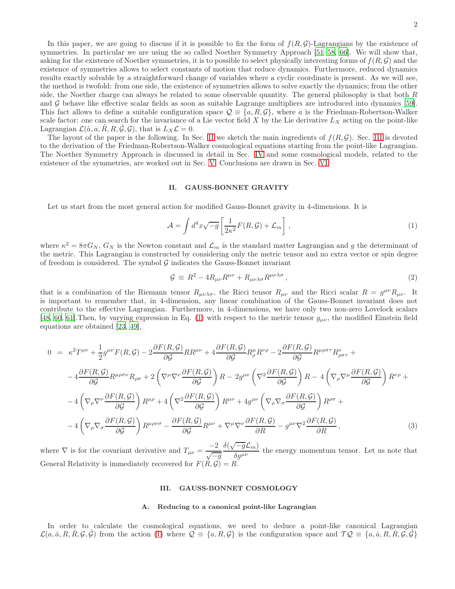In this paper, we are going to discuss if it is possible to fix the form of  $f(R,\mathcal{G})$ -Lagrangians by the existence of symmetries. In particular we are using the so called Noether Symmetry Approach [\[51](#page-7-19)[–58,](#page-8-0) [66](#page-8-1)]. We will show that, asking for the existence of Noether symmetries, it is to possible to select physically interesting forms of  $f(R, \mathcal{G})$  and the existence of symmetries allows to select constants of motion that reduce dynamics. Furthermore, reduced dynamics results exactly solvable by a straightforward change of variables where a cyclic coordinate is present. As we will see, the method is twofold: from one side, the existence of symmetries allows to solve exactly the dynamics; from the other side, the Noether charge can always be related to some observable quantity. The general philosophy is that both  $R$ and G behave like effective scalar fields as soon as suitable Lagrange multipliers are introduced into dynamics [\[59\]](#page-8-2). This fact allows to define a suitable configuration space  $\mathcal{Q} \equiv \{a, R, \mathcal{G}\}\,$ , where a is the Friedman-Robertson-Walker scale factor: one can search for the invariance of a Lie vector field  $X$  by the Lie derivative  $L_X$  acting on the point-like

Lagrangian  $\mathcal{L}(\dot{a}, a, \dot{R}, R, \dot{\mathcal{G}}, \mathcal{G})$ , that is  $L_X \mathcal{L} = 0$ . The layout of the paper is the following. In Sec. [II](#page-1-0) we sketch the main ingredients of  $f(R,\mathcal{G})$ . Sec. [III](#page-1-1) is devoted to the derivation of the Friedman-Robertson-Walker cosmological equations starting from the point-like Lagrangian. The Noether Symmetry Approach is discussed in detail in Sec. [IV](#page-3-0) and some cosmological models, related to the existence of the symmetries, are worked out in Sec. [V.](#page-5-0) Conclusions are drawn in Sec. [VI.](#page-6-0)

## <span id="page-1-0"></span>II. GAUSS-BONNET GRAVITY

Let us start from the most general action for modified Gauss-Bonnet gravity in 4-dimensions. It is

<span id="page-1-2"></span>
$$
\mathcal{A} = \int d^4x \sqrt{-g} \left[ \frac{1}{2\kappa^2} F(R, \mathcal{G}) + \mathcal{L}_m \right], \tag{1}
$$

where  $\kappa^2 = 8\pi G_N$ ,  $G_N$  is the Newton constant and  $\mathcal{L}_m$  is the standard matter Lagrangian and g the determinant of the metric. This Lagrangian is constructed by considering only the metric tensor and no extra vector or spin degree of freedom is considered. The symbol  $G$  indicates the Gauss-Bonnet invariant

$$
\mathcal{G} \equiv R^2 - 4R_{\mu\nu}R^{\mu\nu} + R_{\mu\nu\lambda\sigma}R^{\mu\nu\lambda\sigma}, \qquad (2)
$$

that is a combination of the Riemann tensor  $R_{\mu\nu\lambda\sigma}$ , the Ricci tensor  $R_{\mu\nu}$  and the Ricci scalar  $R = g^{\mu\nu}R_{\mu\nu}$ . It is important to remember that, in 4-dimension, any linear combination of the Gauss-Bonnet invariant does not contribute to the effective Lagrangian. Furthermore, in 4-dimensions, we have only two non-zero Lovelock scalars [\[48,](#page-7-16) [60,](#page-8-3) [61](#page-8-4)]. Then, by varying expression in Eq. [\(1\)](#page-1-2) with respect to the metric tensor  $g_{\mu\nu}$ , the modified Einstein field equations are obtained [\[23,](#page-7-12) [49\]](#page-7-17),

<span id="page-1-3"></span>
$$
0 = \kappa^2 T^{\mu\nu} + \frac{1}{2} g^{\mu\nu} F(R, \mathcal{G}) - 2 \frac{\partial F(R, \mathcal{G})}{\partial \mathcal{G}} R R^{\mu\nu} + 4 \frac{\partial F(R, \mathcal{G})}{\partial \mathcal{G}} R^{\mu}_{\rho} R^{\nu\rho} - 2 \frac{\partial F(R, \mathcal{G})}{\partial \mathcal{G}} R^{\mu\rho\sigma\tau} R^{\nu}_{\rho\sigma\tau} +
$$
  
\n
$$
-4 \frac{\partial F(R, \mathcal{G})}{\partial \mathcal{G}} R^{\mu\rho\sigma\nu} R_{\rho\sigma} + 2 \left( \nabla^{\mu} \nabla^{\nu} \frac{\partial F(R, \mathcal{G})}{\partial \mathcal{G}} \right) R - 2 g^{\mu\nu} \left( \nabla^2 \frac{\partial F(R, \mathcal{G})}{\partial \mathcal{G}} \right) R - 4 \left( \nabla_{\rho} \nabla^{\mu} \frac{\partial F(R, \mathcal{G})}{\partial \mathcal{G}} \right) R^{\nu\rho} +
$$
  
\n
$$
-4 \left( \nabla_{\rho} \nabla^{\nu} \frac{\partial F(R, \mathcal{G})}{\partial \mathcal{G}} \right) R^{\mu\rho} + 4 \left( \nabla^2 \frac{\partial F(R, \mathcal{G})}{\partial \mathcal{G}} \right) R^{\mu\nu} + 4 g^{\mu\nu} \left( \nabla_{\rho} \nabla_{\sigma} \frac{\partial F(R, \mathcal{G})}{\partial \mathcal{G}} \right) R^{\rho\sigma} +
$$
  
\n
$$
-4 \left( \nabla_{\rho} \nabla_{\sigma} \frac{\partial F(R, \mathcal{G})}{\partial \mathcal{G}} \right) R^{\mu\rho\nu\sigma} - \frac{\partial F(R, \mathcal{G})}{\partial \mathcal{G}} R^{\mu\nu} + \nabla^{\mu} \nabla^{\nu} \frac{\partial F(R, \mathcal{G})}{\partial R} - g^{\mu\nu} \nabla^2 \frac{\partial F(R, \mathcal{G})}{\partial R}, \qquad (3)
$$

where  $\nabla$  is for the covariant derivative and  $T_{\mu\nu} = \frac{-2}{\sqrt{-g}}$  $\delta(\sqrt{-g}\mathcal{L}_m)$  $\frac{\partial \mathcal{L}_{m}}{\partial g^{\mu\nu}}$  the energy momentum tensor. Let us note that General Relativity is immediately recovered for  $F(R, \mathcal{G}) = R$ .

### <span id="page-1-1"></span>III. GAUSS-BONNET COSMOLOGY

# A. Reducing to a canonical point-like Lagrangian

In order to calculate the cosmological equations, we need to deduce a point-like canonical Lagrangian  $\mathcal{L}(a, \dot{a}, R, R, \mathcal{G}, \mathcal{G})$  from the action [\(1\)](#page-1-2) where  $\mathcal{Q} \equiv \{a, R, \mathcal{G}\}\$  is the configuration space and  $\mathcal{TQ} \equiv \{a, \dot{a}, R, R, \mathcal{G}, \mathcal{G}\}\$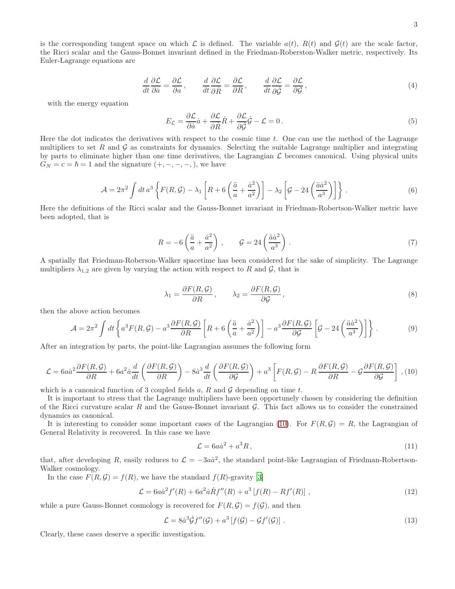is the corresponding tangent space on which  $\mathcal L$  is defined. The variable  $a(t)$ ,  $R(t)$  and  $\mathcal G(t)$  are the scale factor, the Ricci scalar and the Gauss-Bonnet invariant defined in the Friedman-Roberston-Walker metric, respectively. Its Euler-Lagrange equations are

<span id="page-2-1"></span>
$$
\frac{d}{dt}\frac{\partial \mathcal{L}}{\partial \dot{a}} = \frac{\partial \mathcal{L}}{\partial a}, \qquad \frac{d}{dt}\frac{\partial \mathcal{L}}{\partial \dot{R}} = \frac{\partial \mathcal{L}}{\partial R}, \qquad \frac{d}{dt}\frac{\partial \mathcal{L}}{\partial \dot{G}} = \frac{\partial \mathcal{L}}{\partial G},
$$
\n(4)

with the energy equation

<span id="page-2-2"></span>
$$
E_{\mathcal{L}} = \frac{\partial \mathcal{L}}{\partial \dot{a}} \dot{a} + \frac{\partial \mathcal{L}}{\partial \dot{R}} \dot{R} + \frac{\partial \mathcal{L}}{\partial \dot{\mathcal{G}}} \dot{\mathcal{G}} - \mathcal{L} = 0.
$$
\n<sup>(5)</sup>

Here the dot indicates the derivatives with respect to the cosmic time  $t$ . One can use the method of the Lagrange multipliers to set R and  $\mathcal G$  as constraints for dynamics. Selecting the suitable Lagrange multiplier and integrating by parts to eliminate higher than one time derivatives, the Lagrangian  $\mathcal L$  becomes canonical. Using physical units  $G_N = c = \hbar = 1$  and the signature  $(+, -, -, -,),$  we have

$$
\mathcal{A} = 2\pi^2 \int dt \, a^3 \left\{ F(R, \mathcal{G}) - \lambda_1 \left[ R + 6 \left( \frac{\ddot{a}}{a} + \frac{\dot{a}^2}{a^2} \right) \right] - \lambda_2 \left[ \mathcal{G} - 24 \left( \frac{\ddot{a}\dot{a}^2}{a^3} \right) \right] \right\} \,. \tag{6}
$$

Here the definitions of the Ricci scalar and the Gauss-Bonnet invariant in Friedman-Robertson-Walker metric have been adopted, that is

<span id="page-2-3"></span>
$$
R = -6\left(\frac{\ddot{a}}{a} + \frac{\dot{a}^2}{a^2}\right), \qquad \mathcal{G} = 24\left(\frac{\ddot{a}\dot{a}^2}{a^3}\right). \tag{7}
$$

A spatially flat Friedman-Roberson-Walker spacetime has been considered for the sake of simplicity. The Lagrange multipliers  $\lambda_{1,2}$  are given by varying the action with respect to R and G, that is

$$
\lambda_1 = \frac{\partial F(R, \mathcal{G})}{\partial R}, \qquad \lambda_2 = \frac{\partial F(R, \mathcal{G})}{\partial \mathcal{G}},
$$
\n(8)

then the above action becomes

$$
\mathcal{A} = 2\pi^2 \int dt \left\{ a^3 F(R, \mathcal{G}) - a^3 \frac{\partial F(R, \mathcal{G})}{\partial R} \left[ R + 6 \left( \frac{\ddot{a}}{a} + \frac{\dot{a}^2}{a^2} \right) \right] - a^3 \frac{\partial F(R, \mathcal{G})}{\partial \mathcal{G}} \left[ \mathcal{G} - 24 \left( \frac{\ddot{a}\dot{a}^2}{a^3} \right) \right] \right\}.
$$
 (9)

After an integration by parts, the point-like Lagrangian assumes the following form

<span id="page-2-0"></span>
$$
\mathcal{L} = 6a\dot{a}^2 \frac{\partial F(R, \mathcal{G})}{\partial R} + 6a^2 \dot{a} \frac{d}{dt} \left( \frac{\partial F(R, \mathcal{G})}{\partial R} \right) - 8\dot{a}^3 \frac{d}{dt} \left( \frac{\partial F(R, \mathcal{G})}{\partial \mathcal{G}} \right) + a^3 \left[ F(R, \mathcal{G}) - R \frac{\partial F(R, \mathcal{G})}{\partial R} - \mathcal{G} \frac{\partial F(R, \mathcal{G})}{\partial \mathcal{G}} \right],
$$
(10)

which is a canonical function of 3 coupled fields a, R and G depending on time t.

It is important to stress that the Lagrange multipliers have been opportunely chosen by considering the definition of the Ricci curvature scalar  $R$  and the Gauss-Bonnet invariant  $G$ . This fact allows us to consider the constrained dynamics as canonical.

It is interesting to consider some important cases of the Lagrangian [\(10\)](#page-2-0). For  $F(R,\mathcal{G}) = R$ , the Lagrangian of General Relativity is recovered. In this case we have

$$
\mathcal{L} = 6a\dot{a}^2 + a^3 R,\tag{11}
$$

that, after developing R, easily reduces to  $\mathcal{L} = -3a\dot{a}^2$ , the standard point-like Lagrangian of Friedman-Robertson-Walker cosmology.

In the case  $F(R, \mathcal{G}) = f(R)$ , we have the standard  $f(R)$ -gravity [\[3](#page-7-2)]

$$
\mathcal{L} = 6a\dot{a}^2 f'(R) + 6a^2 \dot{a}\dot{R}f''(R) + a^3 [f(R) - Rf'(R)],
$$
\n(12)

while a pure Gauss-Bonnet cosmology is recovered for  $F(R, \mathcal{G}) = f(\mathcal{G})$ , and then

$$
\mathcal{L} = 8\dot{a}^3 \dot{\mathcal{G}} f''(\mathcal{G}) + a^3 \left[ f(\mathcal{G}) - \mathcal{G} f'(\mathcal{G}) \right]. \tag{13}
$$

Clearly, these cases deserve a specific investigation.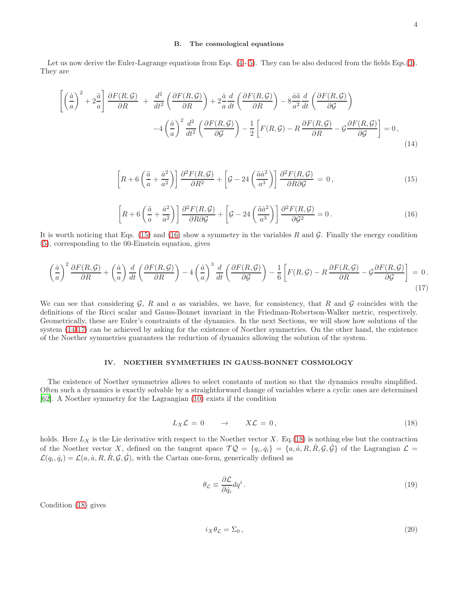### B. The cosmological equations

Let us now derive the Euler-Lagrange equations from Eqs.  $(4 - 5)$  $(4 - 5)$ . They can be also deduced from the fields Eqs.[\(3\)](#page-1-3). They are

<span id="page-3-3"></span>
$$
\left[ \left( \frac{\dot{a}}{a} \right)^2 + 2 \frac{\ddot{a}}{a} \right] \frac{\partial F(R, \mathcal{G})}{\partial R} + \frac{d^2}{dt^2} \left( \frac{\partial F(R, \mathcal{G})}{\partial R} \right) + 2 \frac{\dot{a}}{a} \frac{d}{dt} \left( \frac{\partial F(R, \mathcal{G})}{\partial R} \right) - 8 \frac{\dot{a}\ddot{a}}{a^2} \frac{d}{dt} \left( \frac{\partial F(R, \mathcal{G})}{\partial \mathcal{G}} \right) - 4 \left( \frac{\dot{a}}{a} \right)^2 \frac{d^2}{dt^2} \left( \frac{\partial F(R, \mathcal{G})}{\partial \mathcal{G}} \right) - \frac{1}{2} \left[ F(R, \mathcal{G}) - R \frac{\partial F(R, \mathcal{G})}{\partial R} - \mathcal{G} \frac{\partial F(R, \mathcal{G})}{\partial \mathcal{G}} \right] = 0,
$$
\n(14)

<span id="page-3-1"></span>
$$
\left[R + 6\left(\frac{\ddot{a}}{a} + \frac{\dot{a}^2}{a^2}\right)\right]\frac{\partial^2 F(R, \mathcal{G})}{\partial R^2} + \left[\mathcal{G} - 24\left(\frac{\ddot{a}\dot{a}^2}{a^3}\right)\right]\frac{\partial^2 F(R, \mathcal{G})}{\partial R\partial \mathcal{G}} = 0,
$$
\n(15)

<span id="page-3-2"></span>
$$
\left[R + 6\left(\frac{\ddot{a}}{a} + \frac{\dot{a}^2}{a^2}\right)\right]\frac{\partial^2 F(R, \mathcal{G})}{\partial R \partial \mathcal{G}} + \left[\mathcal{G} - 24\left(\frac{\ddot{a}\dot{a}^2}{a^3}\right)\right]\frac{\partial^2 F(R, \mathcal{G})}{\partial \mathcal{G}^2} = 0.
$$
\n(16)

It is worth noticing that Eqs. [\(15\)](#page-3-1) and [\(16\)](#page-3-2) show a symmetry in the variables R and  $\mathcal G$ . Finally the energy condition [\(5\)](#page-2-2), corresponding to the 00-Einstein equation, gives

<span id="page-3-4"></span>
$$
\left(\frac{\dot{a}}{a}\right)^2 \frac{\partial F(R,\mathcal{G})}{\partial R} + \left(\frac{\dot{a}}{a}\right) \frac{d}{dt} \left(\frac{\partial F(R,\mathcal{G})}{\partial R}\right) - 4 \left(\frac{\dot{a}}{a}\right)^3 \frac{d}{dt} \left(\frac{\partial F(R,\mathcal{G})}{\partial \mathcal{G}}\right) - \frac{1}{6} \left[F(R,\mathcal{G}) - R \frac{\partial F(R,\mathcal{G})}{\partial R} - \mathcal{G} \frac{\partial F(R,\mathcal{G})}{\partial \mathcal{G}}\right] = 0. \tag{17}
$$

We can see that considering  $\mathcal{G}$ , R and a as variables, we have, for consistency, that R and  $\mathcal{G}$  coincides with the definitions of the Ricci scalar and Gauss-Bonnet invariant in the Friedman-Robertson-Walker metric, respectively. Geometrically, these are Euler's constraints of the dynamics. In the next Sections, we will show how solutions of the system [\(14](#page-3-3)[-17\)](#page-3-4) can be achieved by asking for the existence of Noether symmetries. On the other hand, the existence of the Noether symmetries guarantees the reduction of dynamics allowing the solution of the system.

### <span id="page-3-0"></span>IV. NOETHER SYMMETRIES IN GAUSS-BONNET COSMOLOGY

The existence of Noether symmetries allows to select constants of motion so that the dynamics results simplified. Often such a dynamics is exactly solvable by a straightforward change of variables where a cyclic ones are determined [\[62\]](#page-8-5). A Noether symmetry for the Lagrangian [\(10\)](#page-2-0) exists if the condition

<span id="page-3-5"></span>
$$
L_X \mathcal{L} = 0 \qquad \to \qquad X \mathcal{L} = 0, \tag{18}
$$

holds. Here  $L_X$  is the Lie derivative with respect to the Noether vector X. Eq.[\(18\)](#page-3-5) is nothing else but the contraction of the Noether vector X, defined on the tangent space  $\mathcal{TQ} = \{q_i, \dot{q}_i\} = \{a, \dot{a}, R, \dot{R}, \mathcal{G}, \dot{\mathcal{G}}\}$  of the Lagrangian  $\mathcal{L} =$  $\mathcal{L}(q_i, \dot{q}_i) = \mathcal{L}(a, \dot{a}, R, \dot{R}, \mathcal{G}, \dot{\mathcal{G}})$ , with the Cartan one-form, generically defined as

$$
\theta_{\mathcal{L}} \equiv \frac{\partial \mathcal{L}}{\partial \dot{q}_i} dq^i \,. \tag{19}
$$

Condition [\(18\)](#page-3-5) gives

$$
i_X \theta_{\mathcal{L}} = \Sigma_0 \,, \tag{20}
$$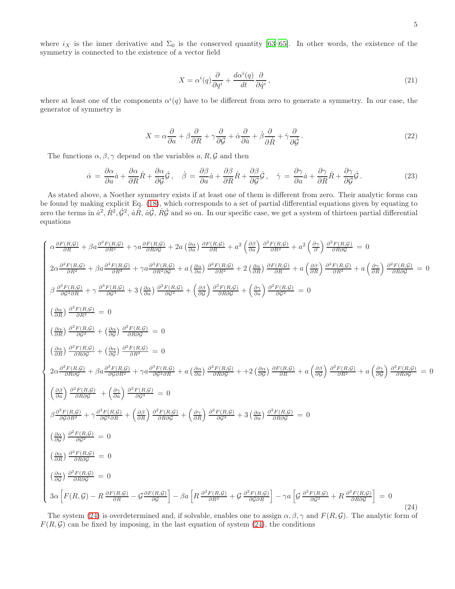where  $i_X$  is the inner derivative and  $\Sigma_0$  is the conserved quantity [\[63](#page-8-6)[–65\]](#page-8-7). In other words, the existence of the symmetry is connected to the existence of a vector field

$$
X = \alpha^{i}(q)\frac{\partial}{\partial q^{i}} + \frac{d\alpha^{i}(q)}{dt}\frac{\partial}{\partial \dot{q}^{i}},
$$
\n(21)

where at least one of the components  $\alpha^{i}(q)$  have to be different from zero to generate a symmetry. In our case, the generator of symmetry is

$$
X = \alpha \frac{\partial}{\partial a} + \beta \frac{\partial}{\partial R} + \gamma \frac{\partial}{\partial G} + \dot{\alpha} \frac{\partial}{\partial \dot{a}} + \dot{\beta} \frac{\partial}{\partial \dot{R}} + \dot{\gamma} \frac{\partial}{\partial \dot{G}}.
$$
 (22)

The functions  $\alpha, \beta, \gamma$  depend on the variables  $a, R, G$  and then

 $\sqrt{ }$ 

<span id="page-4-0"></span>

$$
\dot{\alpha} = \frac{\partial \alpha}{\partial a}\dot{a} + \frac{\partial \alpha}{\partial R}\dot{R} + \frac{\partial \alpha}{\partial G}\dot{G}, \quad \dot{\beta} = \frac{\partial \beta}{\partial a}\dot{a} + \frac{\partial \beta}{\partial R}\dot{R} + \frac{\partial \beta}{\partial G}\dot{G}, \quad \dot{\gamma} = \frac{\partial \gamma}{\partial a}\dot{a} + \frac{\partial \gamma}{\partial R}\dot{R} + \frac{\partial \gamma}{\partial G}\dot{G}.
$$
 (23)

As stated above, a Noether symmetry exists if at least one of them is different from zero. Their analytic forms can be found by making explicit Eq. [\(18\)](#page-3-5), which corresponds to a set of partial differential equations given by equating to zero the terms in  $\dot{a}^2$ ,  $\dot{R}^2$ ,  $\dot{G}^2$ ,  $\dot{a}\dot{R}$ ,  $\dot{a}\dot{G}$ ,  $\dot{R}\dot{G}$  and so on. In our specific case, we get a system of thirteen partial differential equations

$$
\alpha \frac{\partial F(R,G)}{\partial R} + \beta a \frac{\partial^2 F(R,G)}{\partial R^2} + \gamma a \frac{\partial F(R,G)}{\partial R \partial \partial G} + 2a \left(\frac{\partial \alpha}{\partial a}\right) \frac{\partial F(R,G)}{\partial R^2} + a^2 \left(\frac{\partial \beta}{\partial a}\right) \frac{\partial^2 F(R,G)}{\partial R^2} + a^2 \left(\frac{\partial \gamma}{\partial}\right) \frac{\partial^2 F(R,G)}{\partial R^2} = 0
$$
  
\n
$$
2\alpha \frac{\partial^2 F(R,G)}{\partial R^2} + \beta a \frac{\partial^3 F(R,G)}{\partial R^3} + \gamma a \frac{\partial^3 F(R,G)}{\partial R^2 \partial G} + a \left(\frac{\partial \alpha}{\partial a}\right) \frac{\partial^2 F(R,G)}{\partial R^2} + 2 \left(\frac{\partial \alpha}{\partial a}\right) \frac{\partial^2 F(R,G)}{\partial R^2} + a \left(\frac{\partial \beta}{\partial a}\right) \frac{\partial^2 F(R,G)}{\partial R^2} + a \left(\frac{\partial \gamma}{\partial a}\right) \frac{\partial^2 F(R,G)}{\partial R^2} = 0
$$
  
\n
$$
\beta \frac{\partial^3 F(R,G)}{\partial G^2 \partial R} + \gamma \frac{\partial^3 F(R,G)}{\partial G^3} + 3 \left(\frac{\partial \alpha}{\partial a}\right) \frac{\partial^2 F(R,G)}{\partial G^2} + \left(\frac{\partial \beta}{\partial a}\right) \frac{\partial^2 F(R,G)}{\partial R \partial G} + \left(\frac{\partial \gamma}{\partial a}\right) \frac{\partial^2 F(R,G)}{\partial R^2} = 0
$$
  
\n
$$
\left(\frac{\partial \alpha}{\partial R}\right) \frac{\partial^2 F(R,G)}{\partial R \partial G} + \left(\frac{\partial \alpha}{\partial a}\right) \frac{\partial^2 F(R,G)}{\partial R \partial G^2} = 0
$$
  
\n
$$
2\alpha \frac{\partial^2 F(R,G)}{\partial R \partial G} + \beta a \frac{\partial^3 F(R,G)}{\partial g \partial R^2} + \gamma a \frac{\partial^3 F(R,G)}{\partial g^2 \partial R} + a \left(\frac{\partial \alpha}{\partial a}\right) \frac{\partial^3 F(R,G)}{\partial R \partial G} + + 2 \left(\frac{\partial \alpha}{\partial a}\right) \frac{\partial F(R,G)}{\partial R} + a \left(\frac{\partial \beta}{\partial
$$

The system [\(24\)](#page-4-0) is overdetermined and, if solvable, enables one to assign  $\alpha, \beta, \gamma$  and  $F(R, \mathcal{G})$ . The analytic form of  $F(R, \mathcal{G})$  can be fixed by imposing, in the last equation of system [\(24\)](#page-4-0), the conditions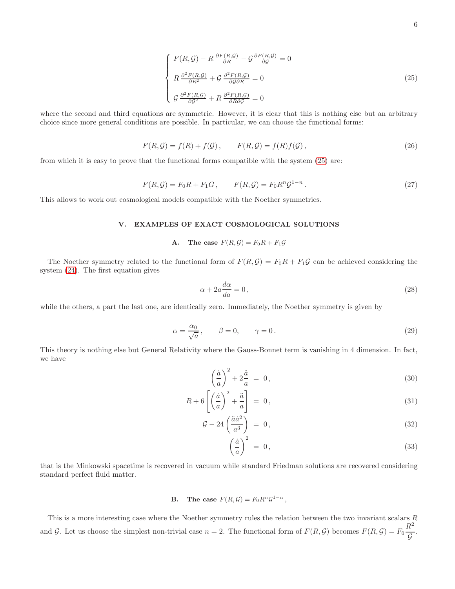<span id="page-5-1"></span>
$$
\begin{cases}\nF(R,\mathcal{G}) - R \frac{\partial F(R,\mathcal{G})}{\partial R} - \mathcal{G} \frac{\partial F(R,\mathcal{G})}{\partial \mathcal{G}} = 0 \\
R \frac{\partial^2 F(R,\mathcal{G})}{\partial R^2} + \mathcal{G} \frac{\partial^2 F(R,\mathcal{G})}{\partial \mathcal{G} \partial R} = 0 \\
\mathcal{G} \frac{\partial^2 F(R,\mathcal{G})}{\partial \mathcal{G}^2} + R \frac{\partial^2 F(R,\mathcal{G})}{\partial R \partial \mathcal{G}} = 0\n\end{cases}
$$
\n(25)

where the second and third equations are symmetric. However, it is clear that this is nothing else but an arbitrary choice since more general conditions are possible. In particular, we can choose the functional forms:

$$
F(R, \mathcal{G}) = f(R) + f(\mathcal{G}), \qquad F(R, \mathcal{G}) = f(R)f(\mathcal{G}), \qquad (26)
$$

from which it is easy to prove that the functional forms compatible with the system [\(25\)](#page-5-1) are:

$$
F(R,\mathcal{G}) = F_0 R + F_1 G, \qquad F(R,\mathcal{G}) = F_0 R^n \mathcal{G}^{1-n}.
$$
\n
$$
(27)
$$

This allows to work out cosmological models compatible with the Noether symmetries.

# <span id="page-5-0"></span>V. EXAMPLES OF EXACT COSMOLOGICAL SOLUTIONS

# A. The case  $F(R, \mathcal{G}) = F_0 R + F_1 \mathcal{G}$

The Noether symmetry related to the functional form of  $F(R,\mathcal{G}) = F_0R + F_1\mathcal{G}$  can be achieved considering the system [\(24\)](#page-4-0). The first equation gives

$$
\alpha + 2a \frac{d\alpha}{da} = 0, \qquad (28)
$$

while the others, a part the last one, are identically zero. Immediately, the Noether symmetry is given by

$$
\alpha = \frac{\alpha_0}{\sqrt{a}}, \qquad \beta = 0, \qquad \gamma = 0.
$$
\n(29)

This theory is nothing else but General Relativity where the Gauss-Bonnet term is vanishing in 4 dimension. In fact, we have

$$
\left(\frac{\dot{a}}{a}\right)^2 + 2\frac{\ddot{a}}{a} = 0,\tag{30}
$$

$$
R + 6\left[\left(\frac{\dot{a}}{a}\right)^2 + \frac{\ddot{a}}{a}\right] = 0,\tag{31}
$$

$$
\mathcal{G} - 24\left(\frac{\ddot{a}\dot{a}^2}{a^3}\right) = 0, \tag{32}
$$

$$
\left(\frac{\dot{a}}{a}\right)^2 = 0,\t\t(33)
$$

that is the Minkowski spacetime is recovered in vacuum while standard Friedman solutions are recovered considering standard perfect fluid matter.

# **B.** The case  $F(R, \mathcal{G}) = F_0 R^n \mathcal{G}^{1-n}$ ,

This is a more interesting case where the Noether symmetry rules the relation between the two invariant scalars  $R$ and G. Let us choose the simplest non-trivial case  $n = 2$ . The functional form of  $F(R, \mathcal{G})$  becomes  $F(R, \mathcal{G}) = F_0$  $R^2$ G .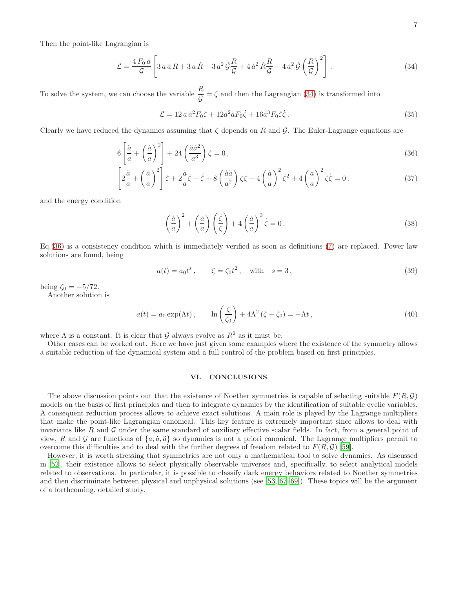Then the point-like Lagrangian is

<span id="page-6-1"></span>
$$
\mathcal{L} = \frac{4 F_0 \dot{a}}{\mathcal{G}} \left[ 3 a \dot{a} R + 3 a \dot{R} - 3 a^2 \dot{\mathcal{G}} \frac{R}{\mathcal{G}} + 4 \dot{a}^2 \dot{R} \frac{R}{\mathcal{G}} - 4 \dot{a}^2 \dot{\mathcal{G}} \left( \frac{R}{\mathcal{G}} \right)^2 \right].
$$
 (34)

To solve the system, we can choose the variable  $\frac{R}{q}$ G  $=\zeta$  and then the Lagrangian [\(34\)](#page-6-1) is transformed into

$$
\mathcal{L} = 12 a \dot{a}^2 F_0 \zeta + 12 a^2 \dot{a} F_0 \dot{\zeta} + 16 \dot{a}^3 F_0 \zeta \dot{\zeta} \,. \tag{35}
$$

Clearly we have reduced the dynamics assuming that  $\zeta$  depends on R and G. The Euler-Lagrange equations are

<span id="page-6-2"></span>
$$
6\left[\frac{\ddot{a}}{a} + \left(\frac{\dot{a}}{a}\right)^2\right] + 24\left(\frac{\ddot{a}\dot{a}^2}{a^3}\right)\zeta = 0\,,\tag{36}
$$

$$
\left[2\frac{\ddot{a}}{a} + \left(\frac{\dot{a}}{a}\right)^2\right]\zeta + 2\frac{\dot{a}}{a}\dot{\zeta} + \ddot{\zeta} + 8\left(\frac{\dot{a}\ddot{a}}{a^2}\right)\zeta\dot{\zeta} + 4\left(\frac{\dot{a}}{a}\right)^2\dot{\zeta}^2 + 4\left(\frac{\dot{a}}{a}\right)^2\zeta\ddot{\zeta} = 0.
$$
 (37)

and the energy condition

$$
\left(\frac{\dot{a}}{a}\right)^2 + \left(\frac{\dot{a}}{a}\right)\left(\frac{\dot{\zeta}}{\zeta}\right) + 4\left(\frac{\dot{a}}{a}\right)^3 \dot{\zeta} = 0.
$$
\n(38)

Eq.[\(36\)](#page-6-2) is a consistency condition which is immediately verified as soon as definitions [\(7\)](#page-2-3) are replaced. Power law solutions are found, being

$$
a(t) = a_0 t^s
$$
,  $\zeta = \zeta_0 t^2$ , with  $s = 3$ , (39)

being  $\zeta_0 = -5/72$ .

Another solution is

$$
a(t) = a_0 \exp(\Lambda t), \qquad \ln\left(\frac{\zeta}{\zeta_0}\right) + 4\Lambda^2 (\zeta - \zeta_0) = -\Lambda t,
$$
\n(40)

where  $\Lambda$  is a constant. It is clear that  $\mathcal G$  always evolve as  $R^2$  as it must be.

Other cases can be worked out. Here we have just given some examples where the existence of the symmetry allows a suitable reduction of the dynamical system and a full control of the problem based on first principles.

# <span id="page-6-0"></span>VI. CONCLUSIONS

The above discussion points out that the existence of Noether symmetries is capable of selecting suitable  $F(R, \mathcal{G})$ models on the basis of first principles and then to integrate dynamics by the identification of suitable cyclic variables. A consequent reduction process allows to achieve exact solutions. A main role is played by the Lagrange multipliers that make the point-like Lagrangian canonical. This key feature is extremely important since allows to deal with invariants like R and  $\mathcal G$  under the same standard of auxiliary effective scalar fields. In fact, from a general point of view, R and G are functions of  $\{a, \dot{a}, \ddot{a}\}$  so dynamics is not a priori canonical. The Lagrange multipliers permit to overcome this difficulties and to deal with the further degrees of freedom related to  $F(R,\mathcal{G})$  [\[59](#page-8-2)].

However, it is worth stressing that symmetries are not only a mathematical tool to solve dynamics. As discussed in [\[52](#page-8-8)], their existence allows to select physically observable universes and, specifically, to select analytical models related to observations. In particular, it is possible to classify dark energy behaviors related to Noether symmetries and then discriminate between physical and unphysical solutions (see [\[53](#page-8-9), [67](#page-8-10)[–69](#page-8-11)]). These topics will be the argument of a forthcoming, detailed study.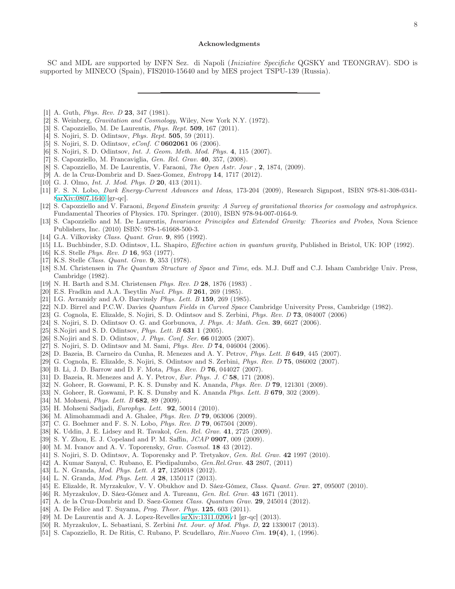### Acknowledgments

SC and MDL are supported by INFN Sez. di Napoli (Iniziative Specifiche QGSKY and TEONGRAV). SDO is supported by MINECO (Spain), FIS2010-15640 and by MES project TSPU-139 (Russia).

- <span id="page-7-0"></span>[1] A. Guth, *Phys. Rev. D* **23**, 347 (1981).
- <span id="page-7-1"></span>[2] S. Weinberg, Gravitation and Cosmology, Wiley, New York N.Y. (1972).
- <span id="page-7-2"></span>[3] S. Capozziello, M. De Laurentis, Phys. Rept. 509, 167 (2011).
- <span id="page-7-11"></span>[4] S. Nojiri, S. D. Odintsov, Phys. Rept. 505, 59 (2011).
- [5] S. Nojiri, S. D. Odintsov, eConf. C 0602061 06 (2006).
- [6] S. Nojiri, S. D. Odintsov, Int. J. Geom. Meth. Mod. Phys. 4, 115 (2007).
- [7] S. Capozziello, M. Francaviglia, Gen. Rel. Grav. 40, 357, (2008).
- [8] S. Capozziello, M. De Laurentis, V. Faraoni, The Open Astr. Jour , 2, 1874, (2009).
- [9] A. de la Cruz-Dombriz and D. Saez-Gomez, Entropy 14, 1717 (2012).
- [10] G. J. Olmo, *Int. J. Mod. Phys. D* **20**, 413 (2011).
- [11] F. S. N. Lobo, Dark Energy-Current Advances and Ideas, 173-204 (2009), Research Signpost, ISBN 978-81-308-0341- [8arXiv:0807.1640](http://arxiv.org/abs/0807.1640) [gr-qc].
- [12] S. Capozziello and V. Faraoni, Beyond Einstein gravity: A Survey of gravitational theories for cosmology and astrophysics. Fundamental Theories of Physics. 170. Springer. (2010), ISBN 978-94-007-0164-9.
- <span id="page-7-3"></span>[13] S. Capozziello and M. De Laurentis, Invariance Principles and Extended Gravity: Theories and Probes, Nova Science Publishers, Inc. (2010) ISBN: 978-1-61668-500-3.
- <span id="page-7-4"></span>[14] G.A. Vilkovisky Class. Quant. Grav. 9, 895 (1992).
- <span id="page-7-5"></span>[15] I.L. Buchbinder, S.D. Odintsov, I.L. Shapiro, Effective action in quantum gravity, Published in Bristol, UK: IOP (1992).
- <span id="page-7-6"></span>[16] K.S. Stelle *Phys. Rev. D* **16**, 953 (1977).
- [17] K.S. Stelle Class. Quant. Grav. 9, 353 (1978).
- [18] S.M. Christensen in The Quantum Structure of Space and Time, eds. M.J. Duff and C.J. Isham Cambridge Univ. Press, Cambridge (1982).
- <span id="page-7-7"></span>[19] N. H. Barth and S.M. Christensen Phys. Rev. D 28, 1876 (1983) .
- <span id="page-7-8"></span>[20] E.S. Fradkin and A.A. Tseytlin *Nucl. Phys. B* 261, 269 (1985).
- <span id="page-7-9"></span>[21] I.G. Avramidy and A.O. Barvinsly *Phys. Lett. B* **159**, 269 (1985).
- <span id="page-7-10"></span>[22] N.D. Birrel and P.C.W. Davies Quantum Fields in Curved Space Cambridge University Press, Cambridge (1982).
- <span id="page-7-12"></span>[23] G. Cognola, E. Elizalde, S. Nojiri, S. D. Odintsov and S. Zerbini, *Phys. Rev. D* **73**, 084007 (2006)
- <span id="page-7-13"></span>[24] S. Nojiri, S. D. Odintsov O. G. and Gorbunova, J. Phys. A: Math. Gen. 39, 6627 (2006).
- [25] S.Nojiri and S. D. Odintsov, *Phys. Lett. B*  $631$  1 (2005).
- [26] S.Nojiri and S. D. Odintsov, J. Phys. Conf. Ser. 66 012005 (2007).
- [27] S. Nojiri, S. D. Odintsov and M. Sami, *Phys. Rev. D* **74**, 046004 (2006).
- [28] D. Bazeia, B. Carneiro da Cunha, R. Menezes and A. Y. Petrov, *Phys. Lett. B* 649, 445 (2007).
- [29] G. Cognola, E. Elizalde, S. Nojiri, S. Odintsov and S. Zerbini, Phys. Rev. D 75, 086002 (2007).
- [30] B. Li, J. D. Barrow and D. F. Mota, *Phys. Rev. D* **76**, 044027 (2007).
- [31] D. Bazeia, R. Menezes and A. Y. Petrov, Eur. Phys. J. C 58, 171 (2008).
- [32] N. Goheer, R. Goswami, P. K. S. Dunsby and K. Ananda, *Phys. Rev. D* 79, 121301 (2009).
- [33] N. Goheer, R. Goswami, P. K. S. Dunsby and K. Ananda *Phys. Lett. B* 679, 302 (2009).
- [34] M. Mohseni, *Phys. Lett. B* 682, 89 (2009).
- [35] H. Mohseni Sadjadi, *Europhys. Lett.* **92**, 50014 (2010).
- [36] M. Alimohammadi and A. Ghalee, *Phys. Rev. D* **79**, 063006 (2009).
- [37] C. G. Boehmer and F. S. N. Lobo, *Phys. Rev. D* **79**, 067504 (2009).
- [38] K. Uddin, J. E. Lidsey and R. Tavakol, *Gen. Rel. Grav.* 41, 2725 (2009).
- [39] S. Y. Zhou, E. J. Copeland and P. M. Saffin, JCAP 0907, 009 (2009).
- [40] M. M. Ivanov and A. V. Toporensky, *Grav. Cosmol.* **18** 43 (2012).
- [41] S. Nojiri, S. D. Odintsov, A. Toporensky and P. Tretyakov, *Gen. Rel. Grav.* **42** 1997 (2010).
- [42] A. Kumar Sanyal, C. Rubano, E. Piedipalumbo, Gen.Rel.Grav. 43 2807, (2011)
- [43] L. N. Granda, *Mod. Phys. Lett. A* **27**, 1250018 (2012).
- <span id="page-7-14"></span>[44] L. N. Granda, *Mod. Phys. Lett. A* 28, 1350117 (2013).
- <span id="page-7-15"></span>[45] E. Elizalde, R. Myrzakulov, V. V. Obukhov and D. Sáez-Gómez, Class. Quant. Grav. 27, 095007 (2010).
- [46] R. Myrzakulov, D. Sáez-Gómez and A. Tureanu, Gen. Rel. Grav. 43 1671 (2011).
- [47] A. de la Cruz-Dombriz and D. Saez-Gomez Class. Quantum Grav. 29, 245014 (2012).
- <span id="page-7-16"></span>[48] A. De Felice and T. Suyama, *Prog. Theor. Phys.* **125**, 603 (2011).
- <span id="page-7-17"></span>[49] M. De Laurentis and A. J. Lopez-Revelles [arXiv:1311.0206v](http://arxiv.org/abs/1311.0206)1 [gr-qc] (2013).
- <span id="page-7-18"></span>[50] R. Myrzakulov, L. Sebastiani, S. Zerbini *Int. Jour. of Mod. Phys. D*, **22** 1330017 (2013).
- <span id="page-7-19"></span>[51] S. Capozziello, R. De Ritis, C. Rubano, P. Scudellaro, *Riv.Nuovo Cim.* **19(4)**, 1, (1996).